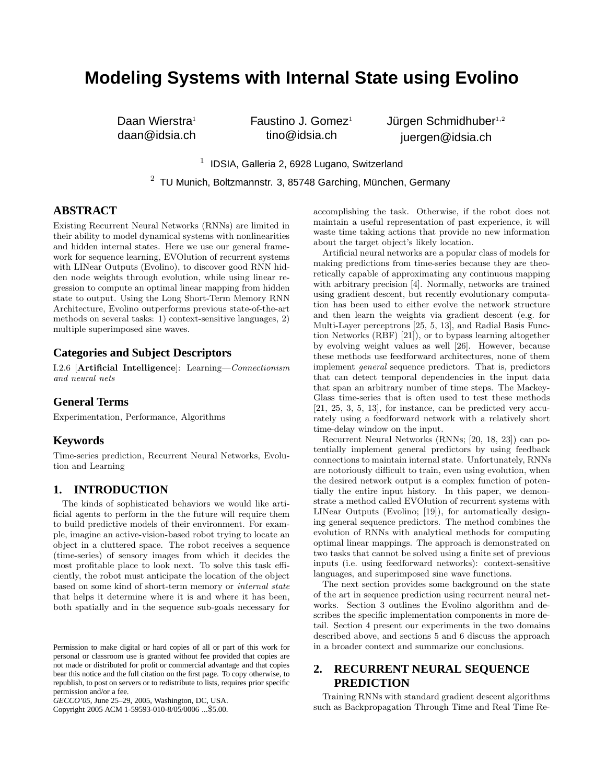# **Modeling Systems with Internal State using Evolino**

Daan Wierstra<sup>1</sup> daan@idsia.ch Faustino J. Gomez $1$ tino@idsia.ch

Jürgen Schmidhuber<sup>1,2</sup> juergen@idsia.ch

 $<sup>1</sup>$  IDSIA, Galleria 2, 6928 Lugano, Switzerland</sup>  $2$  TU Munich, Boltzmannstr. 3, 85748 Garching, München, Germany

**ABSTRACT**

Existing Recurrent Neural Networks (RNNs) are limited in their ability to model dynamical systems with nonlinearities and hidden internal states. Here we use our general framework for sequence learning, EVOlution of recurrent systems with LINear Outputs (Evolino), to discover good RNN hidden node weights through evolution, while using linear regression to compute an optimal linear mapping from hidden state to output. Using the Long Short-Term Memory RNN Architecture, Evolino outperforms previous state-of-the-art methods on several tasks: 1) context-sensitive languages, 2) multiple superimposed sine waves.

## **Categories and Subject Descriptors**

I.2.6 [Artificial Intelligence]: Learning—Connectionism and neural nets

# **General Terms**

Experimentation, Performance, Algorithms

# **Keywords**

Time-series prediction, Recurrent Neural Networks, Evolution and Learning

# **1. INTRODUCTION**

The kinds of sophisticated behaviors we would like artificial agents to perform in the the future will require them to build predictive models of their environment. For example, imagine an active-vision-based robot trying to locate an object in a cluttered space. The robot receives a sequence (time-series) of sensory images from which it decides the most profitable place to look next. To solve this task efficiently, the robot must anticipate the location of the object based on some kind of short-term memory or internal state that helps it determine where it is and where it has been, both spatially and in the sequence sub-goals necessary for

Copyright 2005 ACM 1-59593-010-8/05/0006 ...\$5.00.

accomplishing the task. Otherwise, if the robot does not maintain a useful representation of past experience, it will waste time taking actions that provide no new information about the target object's likely location.

Artificial neural networks are a popular class of models for making predictions from time-series because they are theoretically capable of approximating any continuous mapping with arbitrary precision [4]. Normally, networks are trained using gradient descent, but recently evolutionary computation has been used to either evolve the network structure and then learn the weights via gradient descent (e.g. for Multi-Layer perceptrons [25, 5, 13], and Radial Basis Function Networks (RBF) [21]), or to bypass learning altogether by evolving weight values as well [26]. However, because these methods use feedforward architectures, none of them implement general sequence predictors. That is, predictors that can detect temporal dependencies in the input data that span an arbitrary number of time steps. The Mackey-Glass time-series that is often used to test these methods  $[21, 25, 3, 5, 13]$ , for instance, can be predicted very accurately using a feedforward network with a relatively short time-delay window on the input.

Recurrent Neural Networks (RNNs; [20, 18, 23]) can potentially implement general predictors by using feedback connections to maintain internal state. Unfortunately, RNNs are notoriously difficult to train, even using evolution, when the desired network output is a complex function of potentially the entire input history. In this paper, we demonstrate a method called EVOlution of recurrent systems with LINear Outputs (Evolino; [19]), for automatically designing general sequence predictors. The method combines the evolution of RNNs with analytical methods for computing optimal linear mappings. The approach is demonstrated on two tasks that cannot be solved using a finite set of previous inputs (i.e. using feedforward networks): context-sensitive languages, and superimposed sine wave functions.

The next section provides some background on the state of the art in sequence prediction using recurrent neural networks. Section 3 outlines the Evolino algorithm and describes the specific implementation components in more detail. Section 4 present our experiments in the two domains described above, and sections 5 and 6 discuss the approach in a broader context and summarize our conclusions.

# **2. RECURRENT NEURAL SEQUENCE PREDICTION**

Training RNNs with standard gradient descent algorithms such as Backpropagation Through Time and Real Time Re-

Permission to make digital or hard copies of all or part of this work for personal or classroom use is granted without fee provided that copies are not made or distributed for profit or commercial advantage and that copies bear this notice and the full citation on the first page. To copy otherwise, to republish, to post on servers or to redistribute to lists, requires prior specific permission and/or a fee.

*GECCO'05,* June 25–29, 2005, Washington, DC, USA.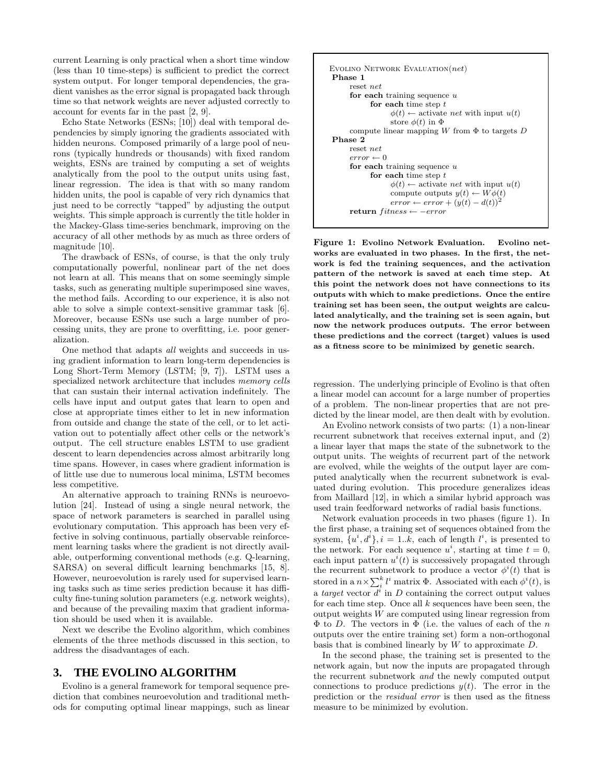current Learning is only practical when a short time window (less than 10 time-steps) is sufficient to predict the correct system output. For longer temporal dependencies, the gradient vanishes as the error signal is propagated back through time so that network weights are never adjusted correctly to account for events far in the past [2, 9].

Echo State Networks (ESNs; [10]) deal with temporal dependencies by simply ignoring the gradients associated with hidden neurons. Composed primarily of a large pool of neurons (typically hundreds or thousands) with fixed random weights, ESNs are trained by computing a set of weights analytically from the pool to the output units using fast, linear regression. The idea is that with so many random hidden units, the pool is capable of very rich dynamics that just need to be correctly "tapped" by adjusting the output weights. This simple approach is currently the title holder in the Mackey-Glass time-series benchmark, improving on the accuracy of all other methods by as much as three orders of magnitude [10].

The drawback of ESNs, of course, is that the only truly computationally powerful, nonlinear part of the net does not learn at all. This means that on some seemingly simple tasks, such as generating multiple superimposed sine waves, the method fails. According to our experience, it is also not able to solve a simple context-sensitive grammar task [6]. Moreover, because ESNs use such a large number of processing units, they are prone to overfitting, i.e. poor generalization.

One method that adapts all weights and succeeds in using gradient information to learn long-term dependencies is Long Short-Term Memory (LSTM; [9, 7]). LSTM uses a specialized network architecture that includes memory cells that can sustain their internal activation indefinitely. The cells have input and output gates that learn to open and close at appropriate times either to let in new information from outside and change the state of the cell, or to let activation out to potentially affect other cells or the network's output. The cell structure enables LSTM to use gradient descent to learn dependencies across almost arbitrarily long time spans. However, in cases where gradient information is of little use due to numerous local minima, LSTM becomes less competitive.

An alternative approach to training RNNs is neuroevolution [24]. Instead of using a single neural network, the space of network parameters is searched in parallel using evolutionary computation. This approach has been very effective in solving continuous, partially observable reinforcement learning tasks where the gradient is not directly available, outperforming conventional methods (e.g. Q-learning, SARSA) on several difficult learning benchmarks [15, 8]. However, neuroevolution is rarely used for supervised learning tasks such as time series prediction because it has difficulty fine-tuning solution parameters (e.g. network weights), and because of the prevailing maxim that gradient information should be used when it is available.

Next we describe the Evolino algorithm, which combines elements of the three methods discussed in this section, to address the disadvantages of each.

#### **3. THE EVOLINO ALGORITHM**

Evolino is a general framework for temporal sequence prediction that combines neuroevolution and traditional methods for computing optimal linear mappings, such as linear

```
EVOLINO NETWORK EVALUATION(net)Phase 1
      reset net
      for each training sequence \boldsymbol{u}for each time step t\phi(t) \leftarrow activate net with input u(t)store \phi(t) in \Phicompute linear mapping W from \Phi to targets D
Phase 2
      reset net
      error \leftarrow 0for each training sequence ufor each time step t\phi(t) \leftarrow activate net with input u(t)compute outputs y(t) \leftarrow W\phi(t)error \leftarrow error + (y(t) - d(t))^2return fitness \leftarrow -error
```
Figure 1: Evolino Network Evaluation. Evolino networks are evaluated in two phases. In the first, the network is fed the training sequences, and the activation pattern of the network is saved at each time step. At this point the network does not have connections to its outputs with which to make predictions. Once the entire training set has been seen, the output weights are calculated analytically, and the training set is seen again, but now the network produces outputs. The error between these predictions and the correct (target) values is used as a fitness score to be minimized by genetic search.

regression. The underlying principle of Evolino is that often a linear model can account for a large number of properties of a problem. The non-linear properties that are not predicted by the linear model, are then dealt with by evolution.

An Evolino network consists of two parts: (1) a non-linear recurrent subnetwork that receives external input, and (2) a linear layer that maps the state of the subnetwork to the output units. The weights of recurrent part of the network are evolved, while the weights of the output layer are computed analytically when the recurrent subnetwork is evaluated during evolution. This procedure generalizes ideas from Maillard [12], in which a similar hybrid approach was used train feedforward networks of radial basis functions.

Network evaluation proceeds in two phases (figure 1). In the first phase, a training set of sequences obtained from the system,  $\{u^i, d^i\}$ ,  $i = 1..k$ , each of length  $l^i$ , is presented to the network. For each sequence  $u^i$ , starting at time  $t = 0$ , each input pattern  $u^{i}(t)$  is successively propagated through the recurrent subnetwork to produce a vector  $\phi^i(t)$  that is stored in a  $n \times \sum_{i}^{k} l^{i}$  matrix  $\Phi$ . Associated with each  $\phi^{i}(t)$ , is a *target* vector  $d^i$  in D containing the correct output values for each time step. Once all  $k$  sequences have been seen, the output weights W are computed using linear regression from  $\Phi$  to D. The vectors in  $\Phi$  (i.e. the values of each of the n outputs over the entire training set) form a non-orthogonal basis that is combined linearly by  $W$  to approximate  $D$ .

In the second phase, the training set is presented to the network again, but now the inputs are propagated through the recurrent subnetwork and the newly computed output connections to produce predictions  $y(t)$ . The error in the prediction or the residual error is then used as the fitness measure to be minimized by evolution.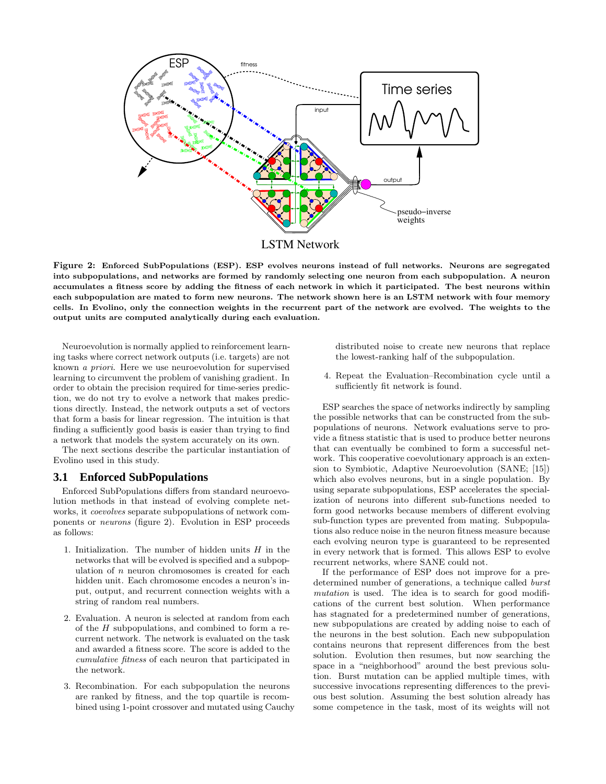

Figure 2: Enforced SubPopulations (ESP). ESP evolves neurons instead of full networks. Neurons are segregated into subpopulations, and networks are formed by randomly selecting one neuron from each subpopulation. A neuron accumulates a fitness score by adding the fitness of each network in which it participated. The best neurons within each subpopulation are mated to form new neurons. The network shown here is an LSTM network with four memory cells. In Evolino, only the connection weights in the recurrent part of the network are evolved. The weights to the output units are computed analytically during each evaluation.

Neuroevolution is normally applied to reinforcement learning tasks where correct network outputs (i.e. targets) are not known a priori. Here we use neuroevolution for supervised learning to circumvent the problem of vanishing gradient. In order to obtain the precision required for time-series prediction, we do not try to evolve a network that makes predictions directly. Instead, the network outputs a set of vectors that form a basis for linear regression. The intuition is that finding a sufficiently good basis is easier than trying to find a network that models the system accurately on its own.

The next sections describe the particular instantiation of Evolino used in this study.

#### **3.1 Enforced SubPopulations**

Enforced SubPopulations differs from standard neuroevolution methods in that instead of evolving complete networks, it coevolves separate subpopulations of network components or neurons (figure 2). Evolution in ESP proceeds as follows:

- 1. Initialization. The number of hidden units  $H$  in the networks that will be evolved is specified and a subpopulation of  $n$  neuron chromosomes is created for each hidden unit. Each chromosome encodes a neuron's input, output, and recurrent connection weights with a string of random real numbers.
- 2. Evaluation. A neuron is selected at random from each of the H subpopulations, and combined to form a recurrent network. The network is evaluated on the task and awarded a fitness score. The score is added to the cumulative fitness of each neuron that participated in the network.
- 3. Recombination. For each subpopulation the neurons are ranked by fitness, and the top quartile is recombined using 1-point crossover and mutated using Cauchy

distributed noise to create new neurons that replace the lowest-ranking half of the subpopulation.

4. Repeat the Evaluation–Recombination cycle until a sufficiently fit network is found.

ESP searches the space of networks indirectly by sampling the possible networks that can be constructed from the subpopulations of neurons. Network evaluations serve to provide a fitness statistic that is used to produce better neurons that can eventually be combined to form a successful network. This cooperative coevolutionary approach is an extension to Symbiotic, Adaptive Neuroevolution (SANE; [15]) which also evolves neurons, but in a single population. By using separate subpopulations, ESP accelerates the specialization of neurons into different sub-functions needed to form good networks because members of different evolving sub-function types are prevented from mating. Subpopulations also reduce noise in the neuron fitness measure because each evolving neuron type is guaranteed to be represented in every network that is formed. This allows ESP to evolve recurrent networks, where SANE could not.

If the performance of ESP does not improve for a predetermined number of generations, a technique called burst mutation is used. The idea is to search for good modifications of the current best solution. When performance has stagnated for a predetermined number of generations, new subpopulations are created by adding noise to each of the neurons in the best solution. Each new subpopulation contains neurons that represent differences from the best solution. Evolution then resumes, but now searching the space in a "neighborhood" around the best previous solution. Burst mutation can be applied multiple times, with successive invocations representing differences to the previous best solution. Assuming the best solution already has some competence in the task, most of its weights will not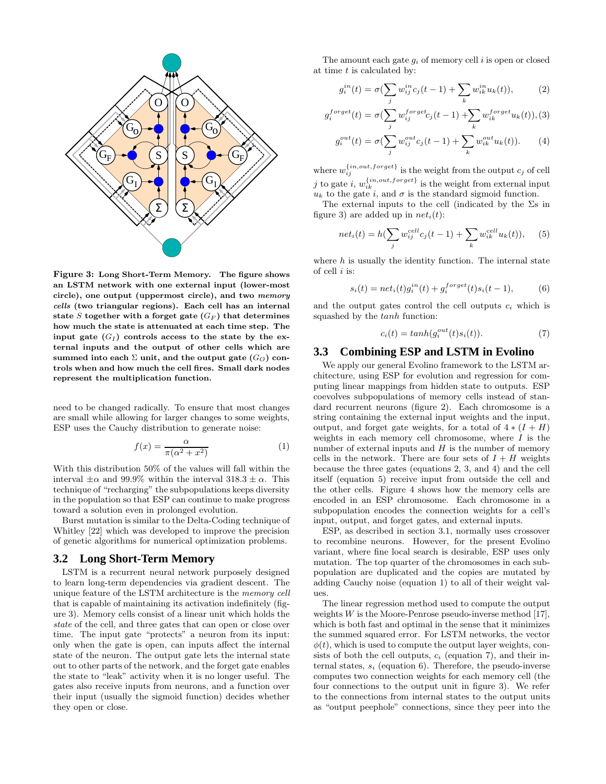

Figure 3: Long Short-Term Memory. The figure shows an LSTM network with one external input (lower-most circle), one output (uppermost circle), and two memory cells (two triangular regions). Each cell has an internal state S together with a forget gate  $(G_F)$  that determines how much the state is attenuated at each time step. The input gate  $(G_I)$  controls access to the state by the external inputs and the output of other cells which are summed into each  $\Sigma$  unit, and the output gate  $(G<sub>O</sub>)$  controls when and how much the cell fires. Small dark nodes represent the multiplication function.

need to be changed radically. To ensure that most changes are small while allowing for larger changes to some weights, ESP uses the Cauchy distribution to generate noise:

$$
f(x) = \frac{\alpha}{\pi(\alpha^2 + x^2)}
$$
 (1)

With this distribution 50% of the values will fall within the interval  $\pm \alpha$  and 99.9% within the interval  $318.3 \pm \alpha$ . This technique of "recharging" the subpopulations keeps diversity in the population so that ESP can continue to make progress toward a solution even in prolonged evolution.

Burst mutation is similar to the Delta-Coding technique of Whitley [22] which was developed to improve the precision of genetic algorithms for numerical optimization problems.

#### **3.2 Long Short-Term Memory**

LSTM is a recurrent neural network purposely designed to learn long-term dependencies via gradient descent. The unique feature of the LSTM architecture is the memory cell that is capable of maintaining its activation indefinitely (figure 3). Memory cells consist of a linear unit which holds the state of the cell, and three gates that can open or close over time. The input gate "protects" a neuron from its input: only when the gate is open, can inputs affect the internal state of the neuron. The output gate lets the internal state out to other parts of the network, and the forget gate enables the state to "leak" activity when it is no longer useful. The gates also receive inputs from neurons, and a function over their input (usually the sigmoid function) decides whether they open or close.

The amount each gate  $q_i$  of memory cell i is open or closed at time  $t$  is calculated by:

$$
g_i^{in}(t) = \sigma(\sum_j w_{ij}^{in} c_j(t-1) + \sum_k w_{ik}^{in} u_k(t)),
$$
 (2)

$$
g_i^{forget}(t) = \sigma(\sum_j w_{ij}^{forget} c_j(t-1) + \sum_k w_{ik}^{forget} u_k(t)),
$$

$$
g_i^{out}(t) = \sigma(\sum_j w_{ij}^{out} c_j(t-1) + \sum_k w_{ik}^{out} u_k(t)).
$$
 (4)

where  $w_{ij}^{\{in,out,forget\}}$  is the weight from the output  $c_j$  of cell j to gate *i*,  $w_{ik}^{\{in,out,target\}}$  is the weight from external input  $u_k$  to the gate i, and  $\sigma$  is the standard sigmoid function.

The external inputs to the cell (indicated by the  $\Sigma$ s in figure 3) are added up in  $net_i(t)$ :

$$
net_i(t) = h(\sum_j w_{ij}^{cell} c_j(t-1) + \sum_k w_{ik}^{cell} u_k(t)),
$$
 (5)

where  $h$  is usually the identity function. The internal state of cell  $i$  is:

$$
s_i(t) = net_i(t)g_i^{in}(t) + g_i^{forget}(t)s_i(t-1),
$$
 (6)

and the output gates control the cell outputs  $c_i$  which is squashed by the tanh function:

$$
c_i(t) = tanh(g_i^{out}(t)s_i(t)).
$$
\n(7)

# **3.3 Combining ESP and LSTM in Evolino**

We apply our general Evolino framework to the LSTM architecture, using ESP for evolution and regression for computing linear mappings from hidden state to outputs. ESP coevolves subpopulations of memory cells instead of standard recurrent neurons (figure 2). Each chromosome is a string containing the external input weights and the input, output, and forget gate weights, for a total of  $4 * (I + H)$ weights in each memory cell chromosome, where  $I$  is the number of external inputs and  $H$  is the number of memory cells in the network. There are four sets of  $I + H$  weights because the three gates (equations 2, 3, and 4) and the cell itself (equation 5) receive input from outside the cell and the other cells. Figure 4 shows how the memory cells are encoded in an ESP chromosome. Each chromosome in a subpopulation encodes the connection weights for a cell's input, output, and forget gates, and external inputs.

ESP, as described in section 3.1, normally uses crossover to recombine neurons. However, for the present Evolino variant, where fine local search is desirable, ESP uses only mutation. The top quarter of the chromosomes in each subpopulation are duplicated and the copies are mutated by adding Cauchy noise (equation 1) to all of their weight values.

The linear regression method used to compute the output weights  $W$  is the Moore-Penrose pseudo-inverse method [17], which is both fast and optimal in the sense that it minimizes the summed squared error. For LSTM networks, the vector  $\phi(t)$ , which is used to compute the output layer weights, consists of both the cell outputs,  $c_i$  (equation 7), and their internal states,  $s_i$  (equation 6). Therefore, the pseudo-inverse computes two connection weights for each memory cell (the four connections to the output unit in figure 3). We refer to the connections from internal states to the output units as "output peephole" connections, since they peer into the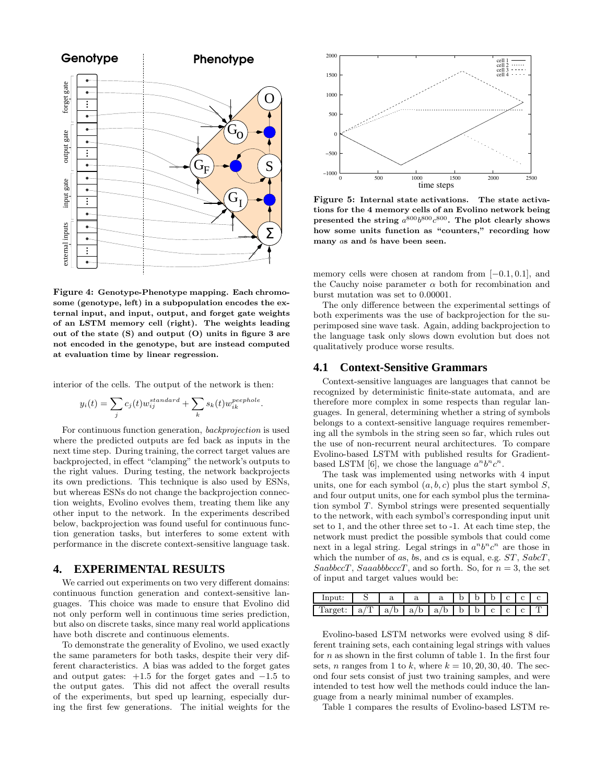

Figure 4: Genotype-Phenotype mapping. Each chromosome (genotype, left) in a subpopulation encodes the external input, and input, output, and forget gate weights of an LSTM memory cell (right). The weights leading out of the state (S) and output (O) units in figure 3 are not encoded in the genotype, but are instead computed at evaluation time by linear regression.

interior of the cells. The output of the network is then:

$$
y_i(t) = \sum_j c_j(t) w_{ij}^{standard} + \sum_k s_k(t) w_{ik}^{peephole}.
$$

For continuous function generation, backprojection is used where the predicted outputs are fed back as inputs in the next time step. During training, the correct target values are backprojected, in effect "clamping" the network's outputs to the right values. During testing, the network backprojects its own predictions. This technique is also used by ESNs, but whereas ESNs do not change the backprojection connection weights, Evolino evolves them, treating them like any other input to the network. In the experiments described below, backprojection was found useful for continuous function generation tasks, but interferes to some extent with performance in the discrete context-sensitive language task.

#### **4. EXPERIMENTAL RESULTS**

We carried out experiments on two very different domains: continuous function generation and context-sensitive languages. This choice was made to ensure that Evolino did not only perform well in continuous time series prediction, but also on discrete tasks, since many real world applications have both discrete and continuous elements.

To demonstrate the generality of Evolino, we used exactly the same parameters for both tasks, despite their very different characteristics. A bias was added to the forget gates and output gates:  $+1.5$  for the forget gates and  $-1.5$  to the output gates. This did not affect the overall results of the experiments, but sped up learning, especially during the first few generations. The initial weights for the



Figure 5: Internal state activations. The state activations for the 4 memory cells of an Evolino network being presented the string  $a^{800}b^{800}c^{800}$ . The plot clearly shows how some units function as "counters," recording how many as and bs have been seen.

memory cells were chosen at random from  $[-0.1, 0.1]$ , and the Cauchy noise parameter  $\alpha$  both for recombination and burst mutation was set to 0.00001.

The only difference between the experimental settings of both experiments was the use of backprojection for the superimposed sine wave task. Again, adding backprojection to the language task only slows down evolution but does not qualitatively produce worse results.

#### **4.1 Context-Sensitive Grammars**

Context-sensitive languages are languages that cannot be recognized by deterministic finite-state automata, and are therefore more complex in some respects than regular languages. In general, determining whether a string of symbols belongs to a context-sensitive language requires remembering all the symbols in the string seen so far, which rules out the use of non-recurrent neural architectures. To compare Evolino-based LSTM with published results for Gradientbased LSTM [6], we chose the language  $a^n b^n c^n$ .

The task was implemented using networks with 4 input units, one for each symbol  $(a, b, c)$  plus the start symbol S, and four output units, one for each symbol plus the termination symbol T. Symbol strings were presented sequentially to the network, with each symbol's corresponding input unit set to 1, and the other three set to -1. At each time step, the network must predict the possible symbols that could come next in a legal string. Legal strings in  $a^n b^n c^n$  are those in which the number of as, bs, and  $cs$  is equal, e.g.  $ST$ ,  $SabcT$ , SaabbccT, SaaabbcccT, and so forth. So, for  $n = 3$ , the set of input and target values would be:

|            |   | а             | а                 | а                               | ຼ | ຼ  |   |  |
|------------|---|---------------|-------------------|---------------------------------|---|----|---|--|
| vv.<br>20a | ື | $\alpha$<br>v | v<br>$\mathbf{u}$ | o<br>ņ<br>$\boldsymbol{\omega}$ | ∼ | IJ | ◡ |  |

Evolino-based LSTM networks were evolved using 8 different training sets, each containing legal strings with values for  $n$  as shown in the first column of table 1. In the first four sets, n ranges from 1 to k, where  $k = 10, 20, 30, 40$ . The second four sets consist of just two training samples, and were intended to test how well the methods could induce the language from a nearly minimal number of examples.

Table 1 compares the results of Evolino-based LSTM re-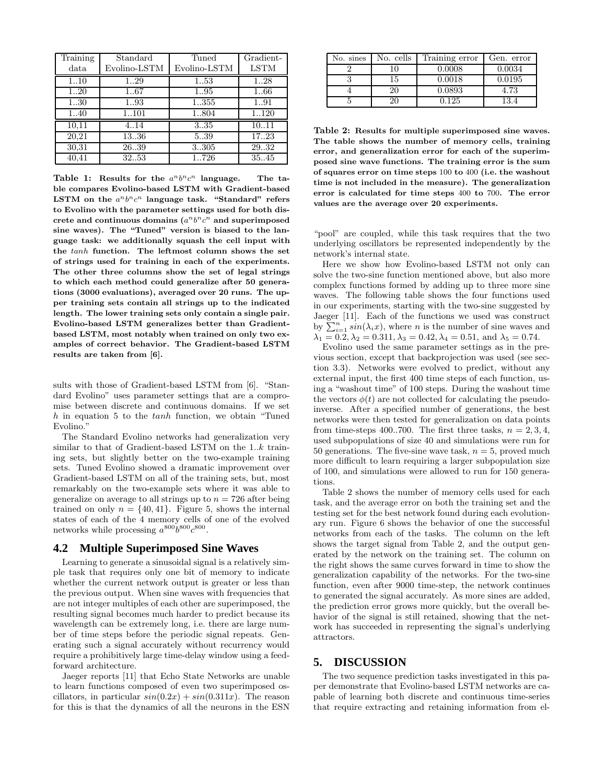| Training<br>data | Standard<br>Evolino-LSTM | Tuned<br>$Evolino\text{-}\mathrm{LSTM}$ | Gradient-<br><b>LSTM</b> |
|------------------|--------------------------|-----------------------------------------|--------------------------|
| 110              | 129                      | 153                                     | 1.28                     |
| 120              | 167                      | 195                                     | 166                      |
| 1.30             | 1.93                     | 1355                                    | 191                      |
| 140              | 1101                     | 1804                                    | 1120                     |
| 10,11            | 4.14                     | 3.35                                    | 1011                     |
| 20,21            | 13.36                    | 5.39                                    | 1723                     |
| 30,31            | 2639                     | 3.305                                   | 29.32                    |
| 40,41            | 32.53                    | 1726                                    | 35.45                    |

Table 1: Results for the  $a^nb^nc^n$  language. The table compares Evolino-based LSTM with Gradient-based LSTM on the  $a^nb^nc^n$  language task. "Standard" refers to Evolino with the parameter settings used for both discrete and continuous domains  $(a^n b^n c^n)$  and superimposed sine waves). The "Tuned" version is biased to the language task: we additionally squash the cell input with the tanh function. The leftmost column shows the set of strings used for training in each of the experiments. The other three columns show the set of legal strings to which each method could generalize after 50 generations (3000 evaluations), averaged over 20 runs. The upper training sets contain all strings up to the indicated length. The lower training sets only contain a single pair. Evolino-based LSTM generalizes better than Gradientbased LSTM, most notably when trained on only two examples of correct behavior. The Gradient-based LSTM results are taken from [6].

sults with those of Gradient-based LSTM from [6]. "Standard Evolino" uses parameter settings that are a compromise between discrete and continuous domains. If we set  $h$  in equation 5 to the  $tanh$  function, we obtain "Tuned" Evolino."

The Standard Evolino networks had generalization very similar to that of Gradient-based LSTM on the 1..k training sets, but slightly better on the two-example training sets. Tuned Evolino showed a dramatic improvement over Gradient-based LSTM on all of the training sets, but, most remarkably on the two-example sets where it was able to generalize on average to all strings up to  $n = 726$  after being trained on only  $n = \{40, 41\}$ . Figure 5, shows the internal states of each of the 4 memory cells of one of the evolved networks while processing  $a^{800}b^{800}c^{800}$ .

#### **4.2 Multiple Superimposed Sine Waves**

Learning to generate a sinusoidal signal is a relatively simple task that requires only one bit of memory to indicate whether the current network output is greater or less than the previous output. When sine waves with frequencies that are not integer multiples of each other are superimposed, the resulting signal becomes much harder to predict because its wavelength can be extremely long, i.e. there are large number of time steps before the periodic signal repeats. Generating such a signal accurately without recurrency would require a prohibitively large time-delay window using a feedforward architecture.

Jaeger reports [11] that Echo State Networks are unable to learn functions composed of even two superimposed oscillators, in particular  $sin(0.2x) + sin(0.311x)$ . The reason for this is that the dynamics of all the neurons in the ESN

| No. sines | No. cells | Training error | Gen. error |
|-----------|-----------|----------------|------------|
|           |           | 0.0008         | 0.0034     |
|           | 15        | 0.0018         | 0.0195     |
|           | 20        | 0.0893         | 4.73       |
|           |           | 0.125          | 134        |

Table 2: Results for multiple superimposed sine waves. The table shows the number of memory cells, training error, and generalization error for each of the superimposed sine wave functions. The training error is the sum of squares error on time steps 100 to 400 (i.e. the washout time is not included in the measure). The generalization error is calculated for time steps 400 to 700. The error values are the average over 20 experiments.

"pool" are coupled, while this task requires that the two underlying oscillators be represented independently by the network's internal state.

Here we show how Evolino-based LSTM not only can solve the two-sine function mentioned above, but also more complex functions formed by adding up to three more sine waves. The following table shows the four functions used in our experiments, starting with the two-sine suggested by Jaeger [11]. Each of the functions we used was construct by  $\sum_{i=1}^{n} sin(\lambda_i x)$ , where *n* is the number of sine waves and  $\lambda_1 = 0.2, \lambda_2 = 0.311, \lambda_3 = 0.42, \lambda_4 = 0.51, \text{ and } \lambda_5 = 0.74.$ 

Evolino used the same parameter settings as in the previous section, except that backprojection was used (see section 3.3). Networks were evolved to predict, without any external input, the first 400 time steps of each function, using a "washout time" of 100 steps. During the washout time the vectors  $\phi(t)$  are not collected for calculating the pseudoinverse. After a specified number of generations, the best networks were then tested for generalization on data points from time-steps 400..700. The first three tasks,  $n = 2, 3, 4$ , used subpopulations of size 40 and simulations were run for 50 generations. The five-sine wave task,  $n = 5$ , proved much more difficult to learn requiring a larger subpopulation size of 100, and simulations were allowed to run for 150 generations.

Table 2 shows the number of memory cells used for each task, and the average error on both the training set and the testing set for the best network found during each evolutionary run. Figure 6 shows the behavior of one the successful networks from each of the tasks. The column on the left shows the target signal from Table 2, and the output generated by the network on the training set. The column on the right shows the same curves forward in time to show the generalization capability of the networks. For the two-sine function, even after 9000 time-step, the network continues to generated the signal accurately. As more sines are added, the prediction error grows more quickly, but the overall behavior of the signal is still retained, showing that the network has succeeded in representing the signal's underlying attractors.

#### **5. DISCUSSION**

The two sequence prediction tasks investigated in this paper demonstrate that Evolino-based LSTM networks are capable of learning both discrete and continuous time-series that require extracting and retaining information from el-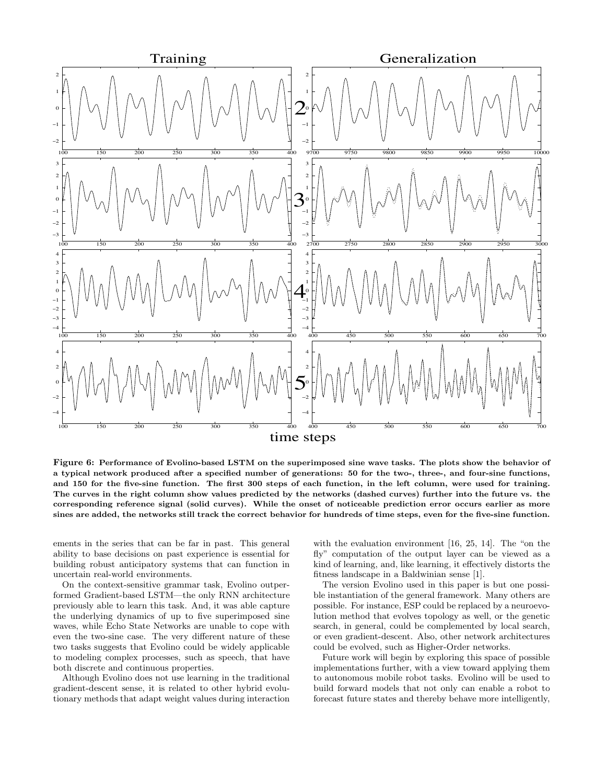

Figure 6: Performance of Evolino-based LSTM on the superimposed sine wave tasks. The plots show the behavior of a typical network produced after a specified number of generations: 50 for the two-, three-, and four-sine functions, and 150 for the five-sine function. The first 300 steps of each function, in the left column, were used for training. The curves in the right column show values predicted by the networks (dashed curves) further into the future vs. the corresponding reference signal (solid curves). While the onset of noticeable prediction error occurs earlier as more sines are added, the networks still track the correct behavior for hundreds of time steps, even for the five-sine function.

ements in the series that can be far in past. This general ability to base decisions on past experience is essential for building robust anticipatory systems that can function in uncertain real-world environments.

On the context-sensitive grammar task, Evolino outperformed Gradient-based LSTM—the only RNN architecture previously able to learn this task. And, it was able capture the underlying dynamics of up to five superimposed sine waves, while Echo State Networks are unable to cope with even the two-sine case. The very different nature of these two tasks suggests that Evolino could be widely applicable to modeling complex processes, such as speech, that have both discrete and continuous properties.

Although Evolino does not use learning in the traditional gradient-descent sense, it is related to other hybrid evolutionary methods that adapt weight values during interaction

with the evaluation environment [16, 25, 14]. The "on the fly" computation of the output layer can be viewed as a kind of learning, and, like learning, it effectively distorts the fitness landscape in a Baldwinian sense [1].

The version Evolino used in this paper is but one possible instantiation of the general framework. Many others are possible. For instance, ESP could be replaced by a neuroevolution method that evolves topology as well, or the genetic search, in general, could be complemented by local search, or even gradient-descent. Also, other network architectures could be evolved, such as Higher-Order networks.

Future work will begin by exploring this space of possible implementations further, with a view toward applying them to autonomous mobile robot tasks. Evolino will be used to build forward models that not only can enable a robot to forecast future states and thereby behave more intelligently,